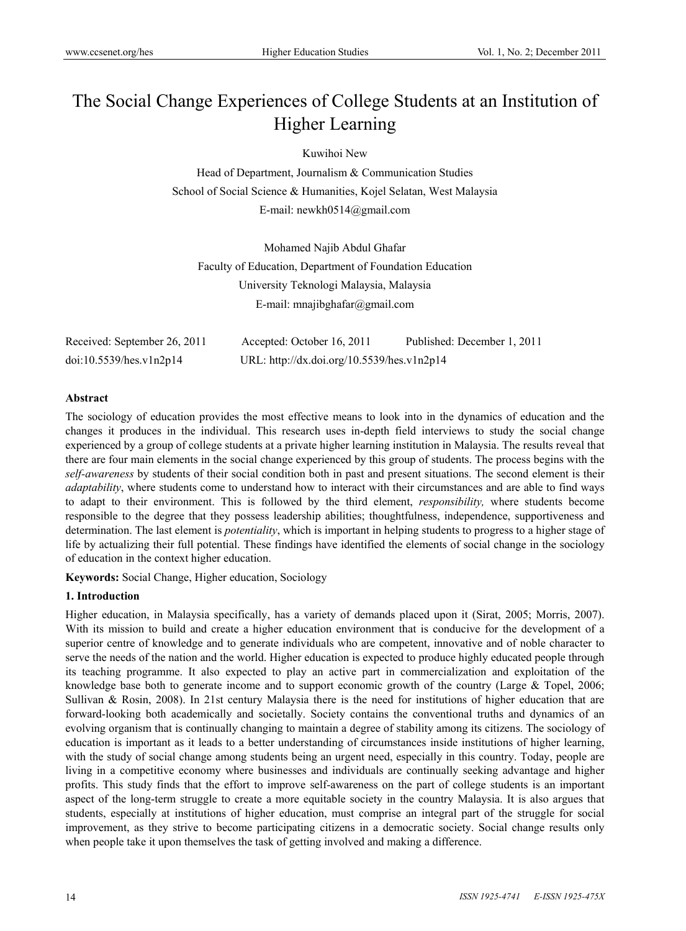# The Social Change Experiences of College Students at an Institution of Higher Learning

Kuwihoi New

Head of Department, Journalism & Communication Studies School of Social Science & Humanities, Kojel Selatan, West Malaysia E-mail: newkh0514@gmail.com

Mohamed Najib Abdul Ghafar Faculty of Education, Department of Foundation Education University Teknologi Malaysia, Malaysia E-mail: mnajibghafar@gmail.com

| Received: September 26, 2011 | Accepted: October 16, 2011                 | Published: December 1, 2011 |
|------------------------------|--------------------------------------------|-----------------------------|
| doi:10.5539/hes.v1n2p14      | URL: http://dx.doi.org/10.5539/hes.v1n2p14 |                             |

## **Abstract**

The sociology of education provides the most effective means to look into in the dynamics of education and the changes it produces in the individual. This research uses in-depth field interviews to study the social change experienced by a group of college students at a private higher learning institution in Malaysia. The results reveal that there are four main elements in the social change experienced by this group of students. The process begins with the *self-awareness* by students of their social condition both in past and present situations. The second element is their *adaptability*, where students come to understand how to interact with their circumstances and are able to find ways to adapt to their environment. This is followed by the third element, *responsibility,* where students become responsible to the degree that they possess leadership abilities; thoughtfulness, independence, supportiveness and determination. The last element is *potentiality*, which is important in helping students to progress to a higher stage of life by actualizing their full potential. These findings have identified the elements of social change in the sociology of education in the context higher education.

**Keywords:** Social Change, Higher education, Sociology

# **1. Introduction**

Higher education, in Malaysia specifically, has a variety of demands placed upon it (Sirat, 2005; Morris, 2007). With its mission to build and create a higher education environment that is conducive for the development of a superior centre of knowledge and to generate individuals who are competent, innovative and of noble character to serve the needs of the nation and the world. Higher education is expected to produce highly educated people through its teaching programme. It also expected to play an active part in commercialization and exploitation of the knowledge base both to generate income and to support economic growth of the country (Large & Topel, 2006; Sullivan & Rosin, 2008). In 21st century Malaysia there is the need for institutions of higher education that are forward-looking both academically and societally. Society contains the conventional truths and dynamics of an evolving organism that is continually changing to maintain a degree of stability among its citizens. The sociology of education is important as it leads to a better understanding of circumstances inside institutions of higher learning, with the study of social change among students being an urgent need, especially in this country. Today, people are living in a competitive economy where businesses and individuals are continually seeking advantage and higher profits. This study finds that the effort to improve self-awareness on the part of college students is an important aspect of the long-term struggle to create a more equitable society in the country Malaysia. It is also argues that students, especially at institutions of higher education, must comprise an integral part of the struggle for social improvement, as they strive to become participating citizens in a democratic society. Social change results only when people take it upon themselves the task of getting involved and making a difference.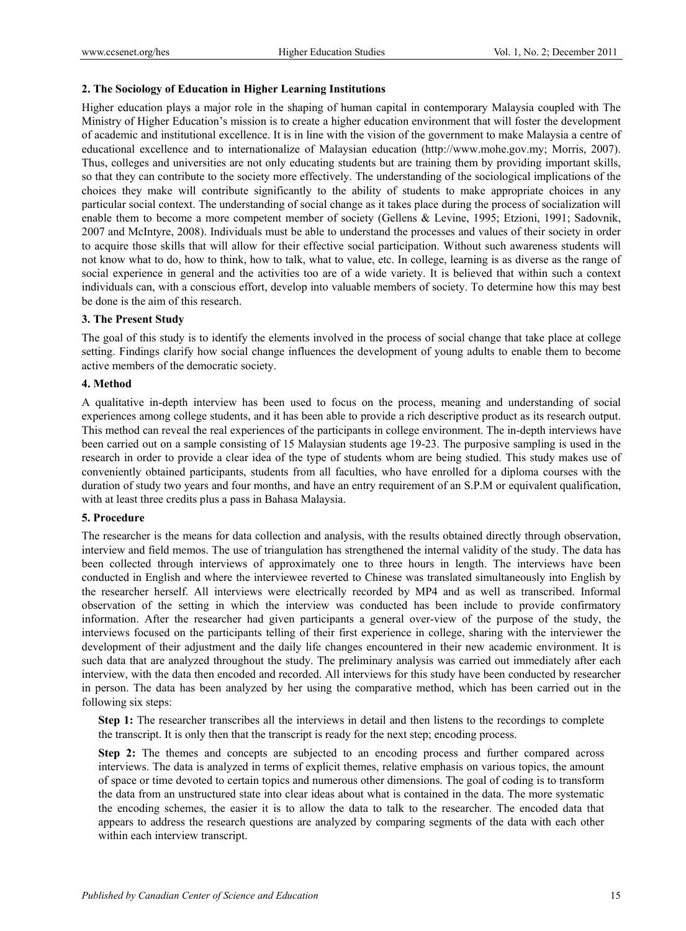#### **2. The Sociology of Education in Higher Learning Institutions**

Higher education plays a major role in the shaping of human capital in contemporary Malaysia coupled with The Ministry of Higher Education's mission is to create a higher education environment that will foster the development of academic and institutional excellence. It is in line with the vision of the government to make Malaysia a centre of educational excellence and to internationalize of Malaysian education (http://www.mohe.gov.my; Morris, 2007). Thus, colleges and universities are not only educating students but are training them by providing important skills, so that they can contribute to the society more effectively. The understanding of the sociological implications of the choices they make will contribute significantly to the ability of students to make appropriate choices in any particular social context. The understanding of social change as it takes place during the process of socialization will enable them to become a more competent member of society (Gellens & Levine, 1995; Etzioni, 1991; Sadovnik, 2007 and McIntyre, 2008). Individuals must be able to understand the processes and values of their society in order to acquire those skills that will allow for their effective social participation. Without such awareness students will not know what to do, how to think, how to talk, what to value, etc. In college, learning is as diverse as the range of social experience in general and the activities too are of a wide variety. It is believed that within such a context individuals can, with a conscious effort, develop into valuable members of society. To determine how this may best be done is the aim of this research.

#### **3. The Present Study**

The goal of this study is to identify the elements involved in the process of social change that take place at college setting. Findings clarify how social change influences the development of young adults to enable them to become active members of the democratic society.

## **4. Method**

A qualitative in-depth interview has been used to focus on the process, meaning and understanding of social experiences among college students, and it has been able to provide a rich descriptive product as its research output. This method can reveal the real experiences of the participants in college environment. The in-depth interviews have been carried out on a sample consisting of 15 Malaysian students age 19-23. The purposive sampling is used in the research in order to provide a clear idea of the type of students whom are being studied. This study makes use of conveniently obtained participants, students from all faculties, who have enrolled for a diploma courses with the duration of study two years and four months, and have an entry requirement of an S.P.M or equivalent qualification, with at least three credits plus a pass in Bahasa Malaysia.

#### **5. Procedure**

The researcher is the means for data collection and analysis, with the results obtained directly through observation, interview and field memos. The use of triangulation has strengthened the internal validity of the study. The data has been collected through interviews of approximately one to three hours in length. The interviews have been conducted in English and where the interviewee reverted to Chinese was translated simultaneously into English by the researcher herself. All interviews were electrically recorded by MP4 and as well as transcribed. Informal observation of the setting in which the interview was conducted has been include to provide confirmatory information. After the researcher had given participants a general over-view of the purpose of the study, the interviews focused on the participants telling of their first experience in college, sharing with the interviewer the development of their adjustment and the daily life changes encountered in their new academic environment. It is such data that are analyzed throughout the study. The preliminary analysis was carried out immediately after each interview, with the data then encoded and recorded. All interviews for this study have been conducted by researcher in person. The data has been analyzed by her using the comparative method, which has been carried out in the following six steps:

**Step 1:** The researcher transcribes all the interviews in detail and then listens to the recordings to complete the transcript. It is only then that the transcript is ready for the next step; encoding process.

**Step 2:** The themes and concepts are subjected to an encoding process and further compared across interviews. The data is analyzed in terms of explicit themes, relative emphasis on various topics, the amount of space or time devoted to certain topics and numerous other dimensions. The goal of coding is to transform the data from an unstructured state into clear ideas about what is contained in the data. The more systematic the encoding schemes, the easier it is to allow the data to talk to the researcher. The encoded data that appears to address the research questions are analyzed by comparing segments of the data with each other within each interview transcript.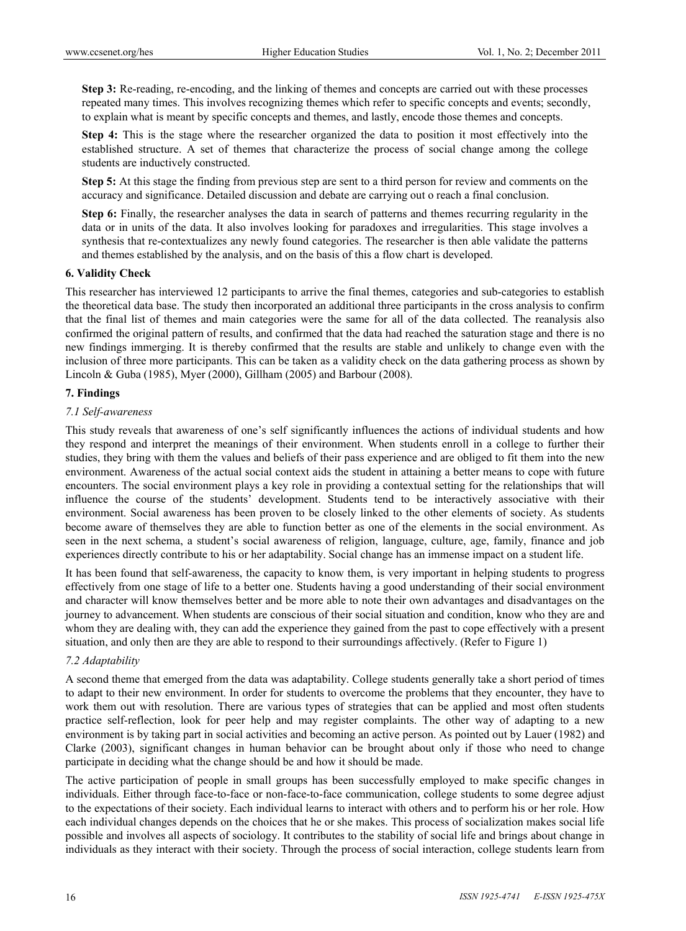**Step 3:** Re-reading, re-encoding, and the linking of themes and concepts are carried out with these processes repeated many times. This involves recognizing themes which refer to specific concepts and events; secondly, to explain what is meant by specific concepts and themes, and lastly, encode those themes and concepts.

**Step 4:** This is the stage where the researcher organized the data to position it most effectively into the established structure. A set of themes that characterize the process of social change among the college students are inductively constructed.

**Step 5:** At this stage the finding from previous step are sent to a third person for review and comments on the accuracy and significance. Detailed discussion and debate are carrying out o reach a final conclusion.

**Step 6:** Finally, the researcher analyses the data in search of patterns and themes recurring regularity in the data or in units of the data. It also involves looking for paradoxes and irregularities. This stage involves a synthesis that re-contextualizes any newly found categories. The researcher is then able validate the patterns and themes established by the analysis, and on the basis of this a flow chart is developed.

## **6. Validity Check**

This researcher has interviewed 12 participants to arrive the final themes, categories and sub-categories to establish the theoretical data base. The study then incorporated an additional three participants in the cross analysis to confirm that the final list of themes and main categories were the same for all of the data collected. The reanalysis also confirmed the original pattern of results, and confirmed that the data had reached the saturation stage and there is no new findings immerging. It is thereby confirmed that the results are stable and unlikely to change even with the inclusion of three more participants. This can be taken as a validity check on the data gathering process as shown by Lincoln & Guba (1985), Myer (2000), Gillham (2005) and Barbour (2008).

# **7. Findings**

## *7.1 Self-awareness*

This study reveals that awareness of one's self significantly influences the actions of individual students and how they respond and interpret the meanings of their environment. When students enroll in a college to further their studies, they bring with them the values and beliefs of their pass experience and are obliged to fit them into the new environment. Awareness of the actual social context aids the student in attaining a better means to cope with future encounters. The social environment plays a key role in providing a contextual setting for the relationships that will influence the course of the students' development. Students tend to be interactively associative with their environment. Social awareness has been proven to be closely linked to the other elements of society. As students become aware of themselves they are able to function better as one of the elements in the social environment. As seen in the next schema, a student's social awareness of religion, language, culture, age, family, finance and job experiences directly contribute to his or her adaptability. Social change has an immense impact on a student life.

It has been found that self-awareness, the capacity to know them, is very important in helping students to progress effectively from one stage of life to a better one. Students having a good understanding of their social environment and character will know themselves better and be more able to note their own advantages and disadvantages on the journey to advancement. When students are conscious of their social situation and condition, know who they are and whom they are dealing with, they can add the experience they gained from the past to cope effectively with a present situation, and only then are they are able to respond to their surroundings affectively. (Refer to Figure 1)

## *7.2 Adaptability*

A second theme that emerged from the data was adaptability. College students generally take a short period of times to adapt to their new environment. In order for students to overcome the problems that they encounter, they have to work them out with resolution. There are various types of strategies that can be applied and most often students practice self-reflection, look for peer help and may register complaints. The other way of adapting to a new environment is by taking part in social activities and becoming an active person. As pointed out by Lauer (1982) and Clarke (2003), significant changes in human behavior can be brought about only if those who need to change participate in deciding what the change should be and how it should be made.

The active participation of people in small groups has been successfully employed to make specific changes in individuals. Either through face-to-face or non-face-to-face communication, college students to some degree adjust to the expectations of their society. Each individual learns to interact with others and to perform his or her role. How each individual changes depends on the choices that he or she makes. This process of socialization makes social life possible and involves all aspects of sociology. It contributes to the stability of social life and brings about change in individuals as they interact with their society. Through the process of social interaction, college students learn from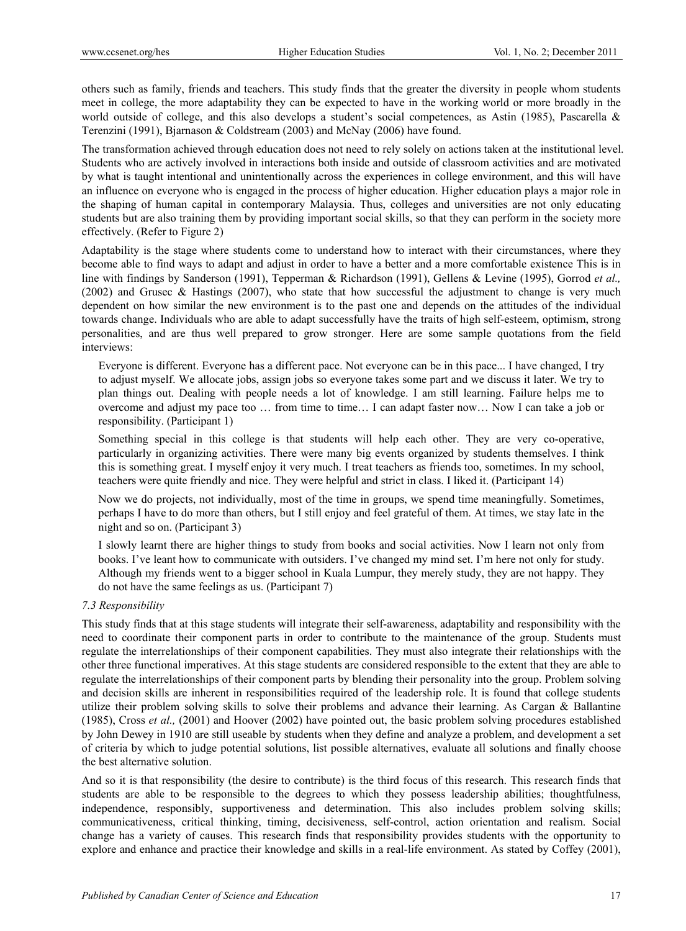others such as family, friends and teachers. This study finds that the greater the diversity in people whom students meet in college, the more adaptability they can be expected to have in the working world or more broadly in the world outside of college, and this also develops a student's social competences, as Astin (1985), Pascarella & Terenzini (1991), Bjarnason & Coldstream (2003) and McNay (2006) have found.

The transformation achieved through education does not need to rely solely on actions taken at the institutional level. Students who are actively involved in interactions both inside and outside of classroom activities and are motivated by what is taught intentional and unintentionally across the experiences in college environment, and this will have an influence on everyone who is engaged in the process of higher education. Higher education plays a major role in the shaping of human capital in contemporary Malaysia. Thus, colleges and universities are not only educating students but are also training them by providing important social skills, so that they can perform in the society more effectively. (Refer to Figure 2)

Adaptability is the stage where students come to understand how to interact with their circumstances, where they become able to find ways to adapt and adjust in order to have a better and a more comfortable existence This is in line with findings by Sanderson (1991), Tepperman & Richardson (1991), Gellens & Levine (1995), Gorrod *et al.,* (2002) and Grusec & Hastings (2007), who state that how successful the adjustment to change is very much dependent on how similar the new environment is to the past one and depends on the attitudes of the individual towards change. Individuals who are able to adapt successfully have the traits of high self-esteem, optimism, strong personalities, and are thus well prepared to grow stronger. Here are some sample quotations from the field interviews:

Everyone is different. Everyone has a different pace. Not everyone can be in this pace... I have changed, I try to adjust myself. We allocate jobs, assign jobs so everyone takes some part and we discuss it later. We try to plan things out. Dealing with people needs a lot of knowledge. I am still learning. Failure helps me to overcome and adjust my pace too … from time to time… I can adapt faster now… Now I can take a job or responsibility. (Participant 1)

Something special in this college is that students will help each other. They are very co-operative, particularly in organizing activities. There were many big events organized by students themselves. I think this is something great. I myself enjoy it very much. I treat teachers as friends too, sometimes. In my school, teachers were quite friendly and nice. They were helpful and strict in class. I liked it. (Participant 14)

Now we do projects, not individually, most of the time in groups, we spend time meaningfully. Sometimes, perhaps I have to do more than others, but I still enjoy and feel grateful of them. At times, we stay late in the night and so on. (Participant 3)

I slowly learnt there are higher things to study from books and social activities. Now I learn not only from books. I've leant how to communicate with outsiders. I've changed my mind set. I'm here not only for study. Although my friends went to a bigger school in Kuala Lumpur, they merely study, they are not happy. They do not have the same feelings as us. (Participant 7)

## *7.3 Responsibility*

This study finds that at this stage students will integrate their self-awareness, adaptability and responsibility with the need to coordinate their component parts in order to contribute to the maintenance of the group. Students must regulate the interrelationships of their component capabilities. They must also integrate their relationships with the other three functional imperatives. At this stage students are considered responsible to the extent that they are able to regulate the interrelationships of their component parts by blending their personality into the group. Problem solving and decision skills are inherent in responsibilities required of the leadership role. It is found that college students utilize their problem solving skills to solve their problems and advance their learning. As Cargan & Ballantine (1985), Cross *et al.,* (2001) and Hoover (2002) have pointed out, the basic problem solving procedures established by John Dewey in 1910 are still useable by students when they define and analyze a problem, and development a set of criteria by which to judge potential solutions, list possible alternatives, evaluate all solutions and finally choose the best alternative solution.

And so it is that responsibility (the desire to contribute) is the third focus of this research. This research finds that students are able to be responsible to the degrees to which they possess leadership abilities; thoughtfulness, independence, responsibly, supportiveness and determination. This also includes problem solving skills; communicativeness, critical thinking, timing, decisiveness, self-control, action orientation and realism. Social change has a variety of causes. This research finds that responsibility provides students with the opportunity to explore and enhance and practice their knowledge and skills in a real-life environment. As stated by Coffey (2001),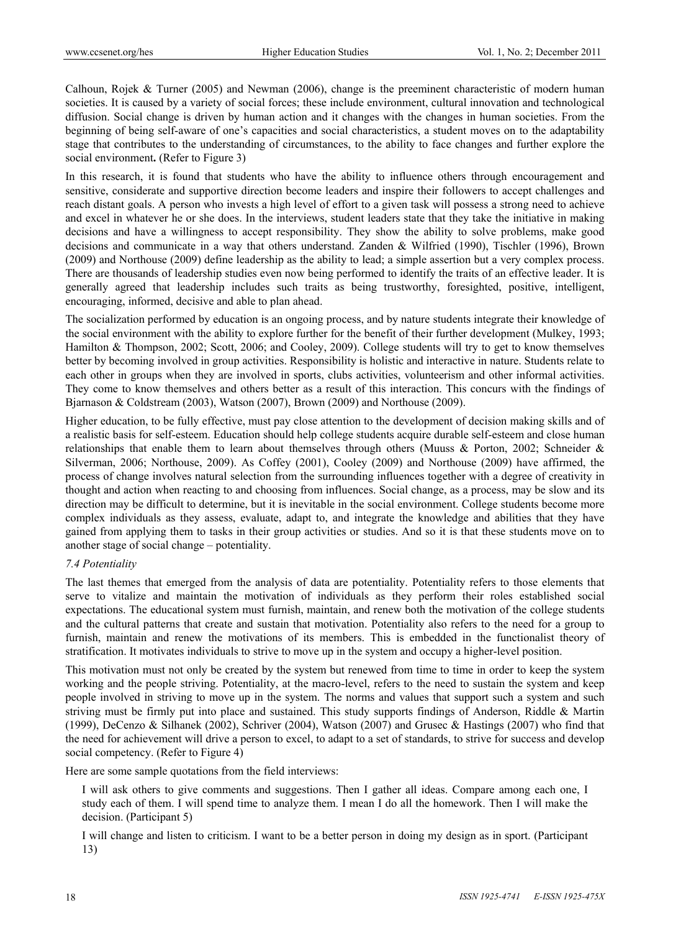Calhoun, Rojek & Turner (2005) and Newman (2006), change is the preeminent characteristic of modern human societies. It is caused by a variety of social forces; these include environment, cultural innovation and technological diffusion. Social change is driven by human action and it changes with the changes in human societies. From the beginning of being self-aware of one's capacities and social characteristics, a student moves on to the adaptability stage that contributes to the understanding of circumstances, to the ability to face changes and further explore the social environment**.** (Refer to Figure 3)

In this research, it is found that students who have the ability to influence others through encouragement and sensitive, considerate and supportive direction become leaders and inspire their followers to accept challenges and reach distant goals. A person who invests a high level of effort to a given task will possess a strong need to achieve and excel in whatever he or she does. In the interviews, student leaders state that they take the initiative in making decisions and have a willingness to accept responsibility. They show the ability to solve problems, make good decisions and communicate in a way that others understand. Zanden & Wilfried (1990), Tischler (1996), Brown (2009) and Northouse (2009) define leadership as the ability to lead; a simple assertion but a very complex process. There are thousands of leadership studies even now being performed to identify the traits of an effective leader. It is generally agreed that leadership includes such traits as being trustworthy, foresighted, positive, intelligent, encouraging, informed, decisive and able to plan ahead.

The socialization performed by education is an ongoing process, and by nature students integrate their knowledge of the social environment with the ability to explore further for the benefit of their further development (Mulkey, 1993; Hamilton & Thompson, 2002; Scott, 2006; and Cooley, 2009). College students will try to get to know themselves better by becoming involved in group activities. Responsibility is holistic and interactive in nature. Students relate to each other in groups when they are involved in sports, clubs activities, volunteerism and other informal activities. They come to know themselves and others better as a result of this interaction. This concurs with the findings of Bjarnason & Coldstream (2003), Watson (2007), Brown (2009) and Northouse (2009).

Higher education, to be fully effective, must pay close attention to the development of decision making skills and of a realistic basis for self-esteem. Education should help college students acquire durable self-esteem and close human relationships that enable them to learn about themselves through others (Muuss & Porton, 2002; Schneider & Silverman, 2006; Northouse, 2009). As Coffey (2001), Cooley (2009) and Northouse (2009) have affirmed, the process of change involves natural selection from the surrounding influences together with a degree of creativity in thought and action when reacting to and choosing from influences. Social change, as a process, may be slow and its direction may be difficult to determine, but it is inevitable in the social environment. College students become more complex individuals as they assess, evaluate, adapt to, and integrate the knowledge and abilities that they have gained from applying them to tasks in their group activities or studies. And so it is that these students move on to another stage of social change – potentiality.

## *7.4 Potentiality*

The last themes that emerged from the analysis of data are potentiality. Potentiality refers to those elements that serve to vitalize and maintain the motivation of individuals as they perform their roles established social expectations. The educational system must furnish, maintain, and renew both the motivation of the college students and the cultural patterns that create and sustain that motivation. Potentiality also refers to the need for a group to furnish, maintain and renew the motivations of its members. This is embedded in the functionalist theory of stratification. It motivates individuals to strive to move up in the system and occupy a higher-level position.

This motivation must not only be created by the system but renewed from time to time in order to keep the system working and the people striving. Potentiality, at the macro-level, refers to the need to sustain the system and keep people involved in striving to move up in the system. The norms and values that support such a system and such striving must be firmly put into place and sustained. This study supports findings of Anderson, Riddle & Martin (1999), DeCenzo & Silhanek (2002), Schriver (2004), Watson (2007) and Grusec & Hastings (2007) who find that the need for achievement will drive a person to excel, to adapt to a set of standards, to strive for success and develop social competency. (Refer to Figure 4)

Here are some sample quotations from the field interviews:

I will ask others to give comments and suggestions. Then I gather all ideas. Compare among each one, I study each of them. I will spend time to analyze them. I mean I do all the homework. Then I will make the decision. (Participant 5)

I will change and listen to criticism. I want to be a better person in doing my design as in sport. (Participant 13)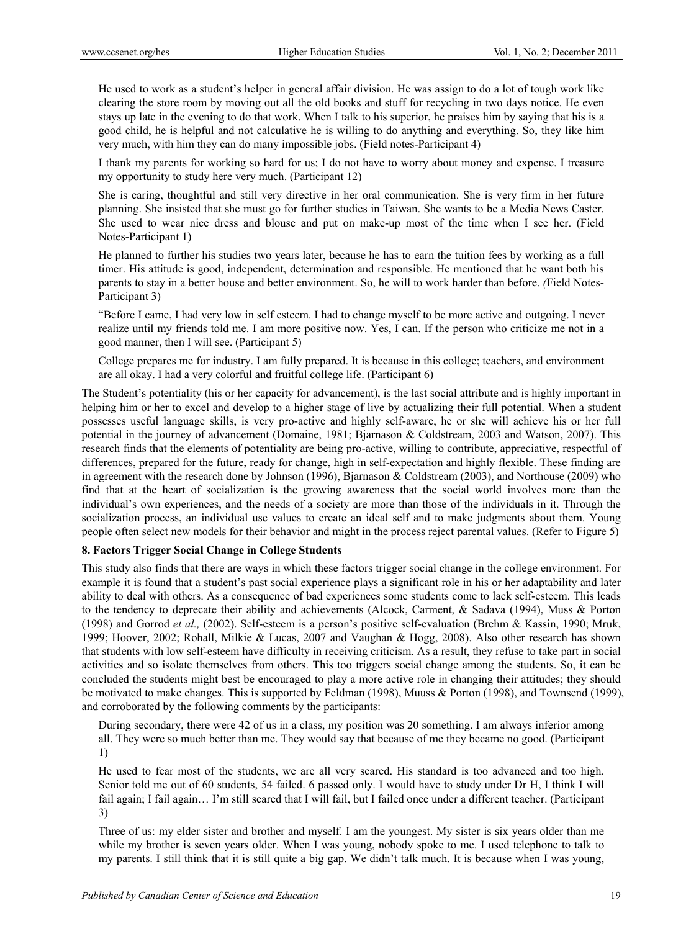He used to work as a student's helper in general affair division. He was assign to do a lot of tough work like clearing the store room by moving out all the old books and stuff for recycling in two days notice. He even stays up late in the evening to do that work. When I talk to his superior, he praises him by saying that his is a good child, he is helpful and not calculative he is willing to do anything and everything. So, they like him very much, with him they can do many impossible jobs. (Field notes-Participant 4)

I thank my parents for working so hard for us; I do not have to worry about money and expense. I treasure my opportunity to study here very much. (Participant 12)

She is caring, thoughtful and still very directive in her oral communication. She is very firm in her future planning. She insisted that she must go for further studies in Taiwan. She wants to be a Media News Caster. She used to wear nice dress and blouse and put on make-up most of the time when I see her. (Field Notes-Participant 1)

He planned to further his studies two years later, because he has to earn the tuition fees by working as a full timer. His attitude is good, independent, determination and responsible. He mentioned that he want both his parents to stay in a better house and better environment. So, he will to work harder than before. *(*Field Notes-Participant 3)

"Before I came, I had very low in self esteem. I had to change myself to be more active and outgoing. I never realize until my friends told me. I am more positive now. Yes, I can. If the person who criticize me not in a good manner, then I will see. (Participant 5)

College prepares me for industry. I am fully prepared. It is because in this college; teachers, and environment are all okay. I had a very colorful and fruitful college life. (Participant 6)

The Student's potentiality (his or her capacity for advancement), is the last social attribute and is highly important in helping him or her to excel and develop to a higher stage of live by actualizing their full potential. When a student possesses useful language skills, is very pro-active and highly self-aware, he or she will achieve his or her full potential in the journey of advancement (Domaine, 1981; Bjarnason & Coldstream, 2003 and Watson, 2007). This research finds that the elements of potentiality are being pro-active, willing to contribute, appreciative, respectful of differences, prepared for the future, ready for change, high in self-expectation and highly flexible. These finding are in agreement with the research done by Johnson (1996), Bjarnason & Coldstream (2003), and Northouse (2009) who find that at the heart of socialization is the growing awareness that the social world involves more than the individual's own experiences, and the needs of a society are more than those of the individuals in it. Through the socialization process, an individual use values to create an ideal self and to make judgments about them. Young people often select new models for their behavior and might in the process reject parental values. (Refer to Figure 5)

## **8. Factors Trigger Social Change in College Students**

This study also finds that there are ways in which these factors trigger social change in the college environment. For example it is found that a student's past social experience plays a significant role in his or her adaptability and later ability to deal with others. As a consequence of bad experiences some students come to lack self-esteem. This leads to the tendency to deprecate their ability and achievements (Alcock, Carment, & Sadava (1994), Muss & Porton (1998) and Gorrod *et al.,* (2002). Self-esteem is a person's positive self-evaluation (Brehm & Kassin, 1990; Mruk, 1999; Hoover, 2002; Rohall, Milkie & Lucas, 2007 and Vaughan & Hogg, 2008). Also other research has shown that students with low self-esteem have difficulty in receiving criticism. As a result, they refuse to take part in social activities and so isolate themselves from others. This too triggers social change among the students. So, it can be concluded the students might best be encouraged to play a more active role in changing their attitudes; they should be motivated to make changes. This is supported by Feldman (1998), Muuss & Porton (1998), and Townsend (1999), and corroborated by the following comments by the participants:

During secondary, there were 42 of us in a class, my position was 20 something. I am always inferior among all. They were so much better than me. They would say that because of me they became no good. (Participant 1)

He used to fear most of the students, we are all very scared. His standard is too advanced and too high. Senior told me out of 60 students, 54 failed. 6 passed only. I would have to study under Dr H, I think I will fail again; I fail again… I'm still scared that I will fail, but I failed once under a different teacher. (Participant 3)

Three of us: my elder sister and brother and myself. I am the youngest. My sister is six years older than me while my brother is seven years older. When I was young, nobody spoke to me. I used telephone to talk to my parents. I still think that it is still quite a big gap. We didn't talk much. It is because when I was young,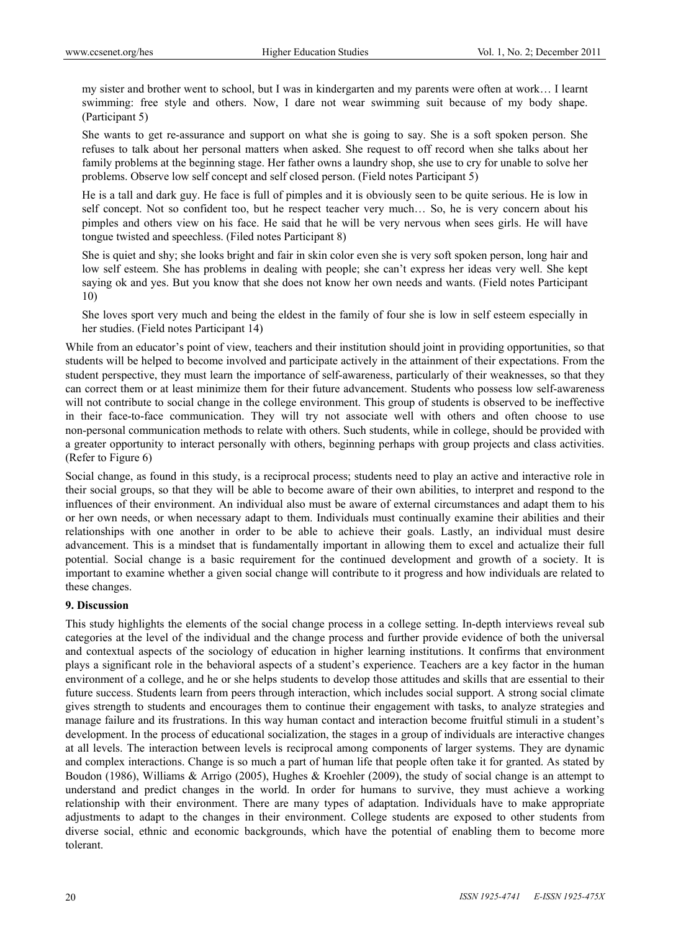my sister and brother went to school, but I was in kindergarten and my parents were often at work… I learnt swimming: free style and others. Now, I dare not wear swimming suit because of my body shape. (Participant 5)

She wants to get re-assurance and support on what she is going to say. She is a soft spoken person. She refuses to talk about her personal matters when asked. She request to off record when she talks about her family problems at the beginning stage. Her father owns a laundry shop, she use to cry for unable to solve her problems. Observe low self concept and self closed person. (Field notes Participant 5)

He is a tall and dark guy. He face is full of pimples and it is obviously seen to be quite serious. He is low in self concept. Not so confident too, but he respect teacher very much… So, he is very concern about his pimples and others view on his face. He said that he will be very nervous when sees girls. He will have tongue twisted and speechless. (Filed notes Participant 8)

She is quiet and shy; she looks bright and fair in skin color even she is very soft spoken person, long hair and low self esteem. She has problems in dealing with people; she can't express her ideas very well. She kept saying ok and yes. But you know that she does not know her own needs and wants. (Field notes Participant 10)

She loves sport very much and being the eldest in the family of four she is low in self esteem especially in her studies. (Field notes Participant 14)

While from an educator's point of view, teachers and their institution should joint in providing opportunities, so that students will be helped to become involved and participate actively in the attainment of their expectations. From the student perspective, they must learn the importance of self-awareness, particularly of their weaknesses, so that they can correct them or at least minimize them for their future advancement. Students who possess low self-awareness will not contribute to social change in the college environment. This group of students is observed to be ineffective in their face-to-face communication. They will try not associate well with others and often choose to use non-personal communication methods to relate with others. Such students, while in college, should be provided with a greater opportunity to interact personally with others, beginning perhaps with group projects and class activities. (Refer to Figure 6)

Social change, as found in this study, is a reciprocal process; students need to play an active and interactive role in their social groups, so that they will be able to become aware of their own abilities, to interpret and respond to the influences of their environment. An individual also must be aware of external circumstances and adapt them to his or her own needs, or when necessary adapt to them. Individuals must continually examine their abilities and their relationships with one another in order to be able to achieve their goals. Lastly, an individual must desire advancement. This is a mindset that is fundamentally important in allowing them to excel and actualize their full potential. Social change is a basic requirement for the continued development and growth of a society. It is important to examine whether a given social change will contribute to it progress and how individuals are related to these changes.

## **9. Discussion**

This study highlights the elements of the social change process in a college setting. In-depth interviews reveal sub categories at the level of the individual and the change process and further provide evidence of both the universal and contextual aspects of the sociology of education in higher learning institutions. It confirms that environment plays a significant role in the behavioral aspects of a student's experience. Teachers are a key factor in the human environment of a college, and he or she helps students to develop those attitudes and skills that are essential to their future success. Students learn from peers through interaction, which includes social support. A strong social climate gives strength to students and encourages them to continue their engagement with tasks, to analyze strategies and manage failure and its frustrations. In this way human contact and interaction become fruitful stimuli in a student's development. In the process of educational socialization, the stages in a group of individuals are interactive changes at all levels. The interaction between levels is reciprocal among components of larger systems. They are dynamic and complex interactions. Change is so much a part of human life that people often take it for granted. As stated by Boudon (1986), Williams & Arrigo (2005), Hughes & Kroehler (2009), the study of social change is an attempt to understand and predict changes in the world. In order for humans to survive, they must achieve a working relationship with their environment. There are many types of adaptation. Individuals have to make appropriate adjustments to adapt to the changes in their environment. College students are exposed to other students from diverse social, ethnic and economic backgrounds, which have the potential of enabling them to become more tolerant.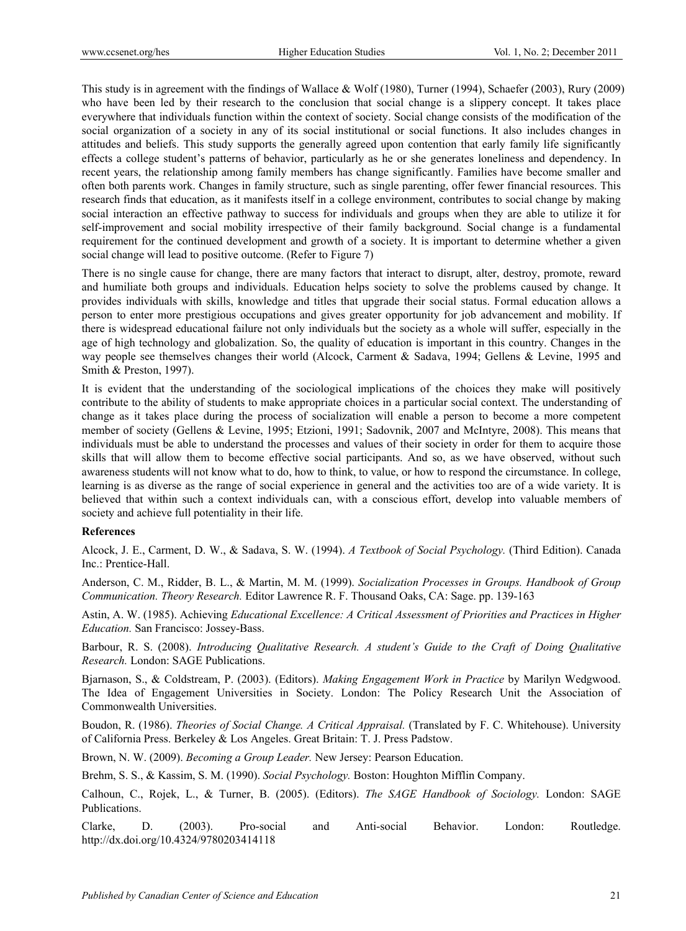This study is in agreement with the findings of Wallace & Wolf (1980), Turner (1994), Schaefer (2003), Rury (2009) who have been led by their research to the conclusion that social change is a slippery concept. It takes place everywhere that individuals function within the context of society. Social change consists of the modification of the social organization of a society in any of its social institutional or social functions. It also includes changes in attitudes and beliefs. This study supports the generally agreed upon contention that early family life significantly effects a college student's patterns of behavior, particularly as he or she generates loneliness and dependency. In recent years, the relationship among family members has change significantly. Families have become smaller and often both parents work. Changes in family structure, such as single parenting, offer fewer financial resources. This research finds that education, as it manifests itself in a college environment, contributes to social change by making social interaction an effective pathway to success for individuals and groups when they are able to utilize it for self-improvement and social mobility irrespective of their family background. Social change is a fundamental requirement for the continued development and growth of a society. It is important to determine whether a given social change will lead to positive outcome. (Refer to Figure 7)

There is no single cause for change, there are many factors that interact to disrupt, alter, destroy, promote, reward and humiliate both groups and individuals. Education helps society to solve the problems caused by change. It provides individuals with skills, knowledge and titles that upgrade their social status. Formal education allows a person to enter more prestigious occupations and gives greater opportunity for job advancement and mobility. If there is widespread educational failure not only individuals but the society as a whole will suffer, especially in the age of high technology and globalization. So, the quality of education is important in this country. Changes in the way people see themselves changes their world (Alcock, Carment & Sadava, 1994; Gellens & Levine, 1995 and Smith & Preston, 1997).

It is evident that the understanding of the sociological implications of the choices they make will positively contribute to the ability of students to make appropriate choices in a particular social context. The understanding of change as it takes place during the process of socialization will enable a person to become a more competent member of society (Gellens & Levine, 1995; Etzioni, 1991; Sadovnik, 2007 and McIntyre, 2008). This means that individuals must be able to understand the processes and values of their society in order for them to acquire those skills that will allow them to become effective social participants. And so, as we have observed, without such awareness students will not know what to do, how to think, to value, or how to respond the circumstance. In college, learning is as diverse as the range of social experience in general and the activities too are of a wide variety. It is believed that within such a context individuals can, with a conscious effort, develop into valuable members of society and achieve full potentiality in their life.

## **References**

Alcock, J. E., Carment, D. W., & Sadava, S. W. (1994). *A Textbook of Social Psychology.* (Third Edition). Canada Inc.: Prentice-Hall.

Anderson, C. M., Ridder, B. L., & Martin, M. M. (1999). *Socialization Processes in Groups. Handbook of Group Communication. Theory Research.* Editor Lawrence R. F. Thousand Oaks, CA: Sage. pp. 139-163

Astin, A. W. (1985). Achieving *Educational Excellence: A Critical Assessment of Priorities and Practices in Higher Education.* San Francisco: Jossey-Bass.

Barbour, R. S. (2008). *Introducing Qualitative Research. A student's Guide to the Craft of Doing Qualitative Research.* London: SAGE Publications.

Bjarnason, S., & Coldstream, P. (2003). (Editors). *Making Engagement Work in Practice* by Marilyn Wedgwood. The Idea of Engagement Universities in Society. London: The Policy Research Unit the Association of Commonwealth Universities.

Boudon, R. (1986). *Theories of Social Change. A Critical Appraisal.* (Translated by F. C. Whitehouse). University of California Press. Berkeley & Los Angeles. Great Britain: T. J. Press Padstow.

Brown, N. W. (2009). *Becoming a Group Leader.* New Jersey: Pearson Education.

Brehm, S. S., & Kassim, S. M. (1990). *Social Psychology.* Boston: Houghton Mifflin Company.

Calhoun, C., Rojek, L., & Turner, B. (2005). (Editors). *The SAGE Handbook of Sociology.* London: SAGE Publications.

Clarke, D. (2003). Pro-social and Anti-social Behavior. London: Routledge. http://dx.doi.org/10.4324/9780203414118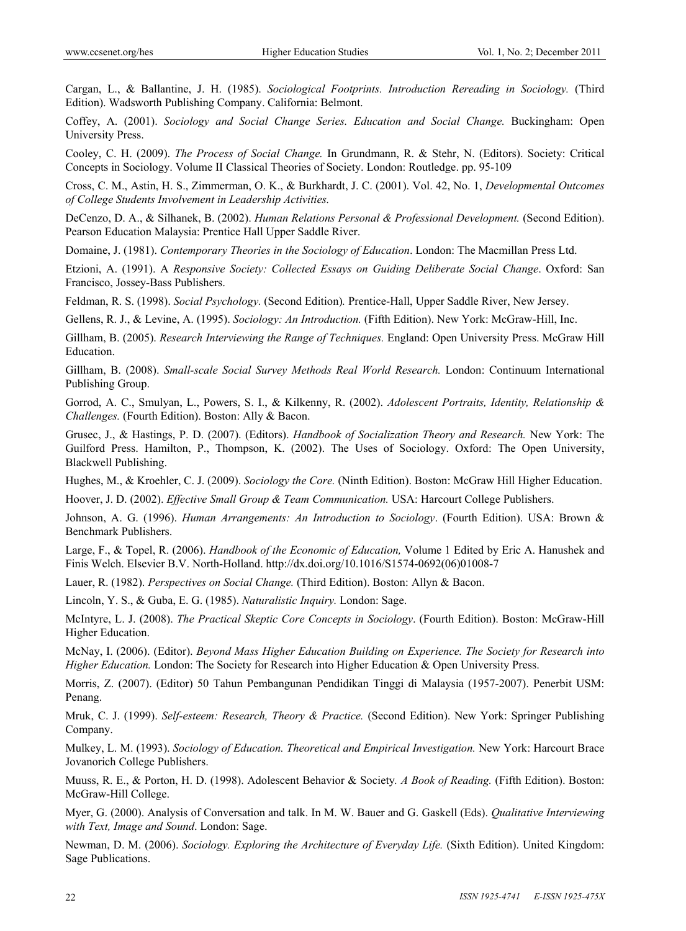Cargan, L., & Ballantine, J. H. (1985). *Sociological Footprints. Introduction Rereading in Sociology.* (Third Edition). Wadsworth Publishing Company. California: Belmont.

Coffey, A. (2001). *Sociology and Social Change Series. Education and Social Change.* Buckingham: Open University Press.

Cooley, C. H. (2009). *The Process of Social Change.* In Grundmann, R. & Stehr, N. (Editors). Society: Critical Concepts in Sociology. Volume II Classical Theories of Society. London: Routledge. pp. 95-109

Cross, C. M., Astin, H. S., Zimmerman, O. K., & Burkhardt, J. C. (2001). Vol. 42, No. 1, *Developmental Outcomes of College Students Involvement in Leadership Activities.* 

DeCenzo, D. A., & Silhanek, B. (2002). *Human Relations Personal & Professional Development.* (Second Edition). Pearson Education Malaysia: Prentice Hall Upper Saddle River.

Domaine, J. (1981). *Contemporary Theories in the Sociology of Education*. London: The Macmillan Press Ltd.

Etzioni, A. (1991). A *Responsive Society: Collected Essays on Guiding Deliberate Social Change*. Oxford: San Francisco, Jossey-Bass Publishers.

Feldman, R. S. (1998). *Social Psychology.* (Second Edition)*.* Prentice-Hall, Upper Saddle River, New Jersey.

Gellens, R. J., & Levine, A. (1995). *Sociology: An Introduction.* (Fifth Edition). New York: McGraw-Hill, Inc.

Gillham, B. (2005). *Research Interviewing the Range of Techniques.* England: Open University Press. McGraw Hill Education.

Gillham, B. (2008). *Small-scale Social Survey Methods Real World Research.* London: Continuum International Publishing Group.

Gorrod, A. C., Smulyan, L., Powers, S. I., & Kilkenny, R. (2002). *Adolescent Portraits, Identity, Relationship & Challenges.* (Fourth Edition). Boston: Ally & Bacon.

Grusec, J., & Hastings, P. D. (2007). (Editors). *Handbook of Socialization Theory and Research.* New York: The Guilford Press. Hamilton, P., Thompson, K. (2002). The Uses of Sociology. Oxford: The Open University, Blackwell Publishing.

Hughes, M., & Kroehler, C. J. (2009). *Sociology the Core.* (Ninth Edition). Boston: McGraw Hill Higher Education. Hoover, J. D. (2002). *Effective Small Group & Team Communication.* USA: Harcourt College Publishers.

Johnson, A. G. (1996). *Human Arrangements: An Introduction to Sociology*. (Fourth Edition). USA: Brown & Benchmark Publishers.

Large, F., & Topel, R. (2006). *Handbook of the Economic of Education,* Volume 1 Edited by Eric A. Hanushek and Finis Welch. Elsevier B.V. North-Holland. http://dx.doi.org/10.1016/S1574-0692(06)01008-7

Lauer, R. (1982). *Perspectives on Social Change.* (Third Edition). Boston: Allyn & Bacon.

Lincoln, Y. S., & Guba, E. G. (1985). *Naturalistic Inquiry.* London: Sage.

McIntyre, L. J. (2008). *The Practical Skeptic Core Concepts in Sociology*. (Fourth Edition). Boston: McGraw-Hill Higher Education.

McNay, I. (2006). (Editor). *Beyond Mass Higher Education Building on Experience. The Society for Research into Higher Education.* London: The Society for Research into Higher Education & Open University Press.

Morris, Z. (2007). (Editor) 50 Tahun Pembangunan Pendidikan Tinggi di Malaysia (1957-2007). Penerbit USM: Penang.

Mruk, C. J. (1999). *Self-esteem: Research, Theory & Practice.* (Second Edition). New York: Springer Publishing Company.

Mulkey, L. M. (1993). *Sociology of Education. Theoretical and Empirical Investigation.* New York: Harcourt Brace Jovanorich College Publishers.

Muuss, R. E., & Porton, H. D. (1998). Adolescent Behavior & Society*. A Book of Reading.* (Fifth Edition). Boston: McGraw-Hill College.

Myer, G. (2000). Analysis of Conversation and talk. In M. W. Bauer and G. Gaskell (Eds). *Qualitative Interviewing with Text, Image and Sound*. London: Sage.

Newman, D. M. (2006). *Sociology. Exploring the Architecture of Everyday Life.* (Sixth Edition). United Kingdom: Sage Publications.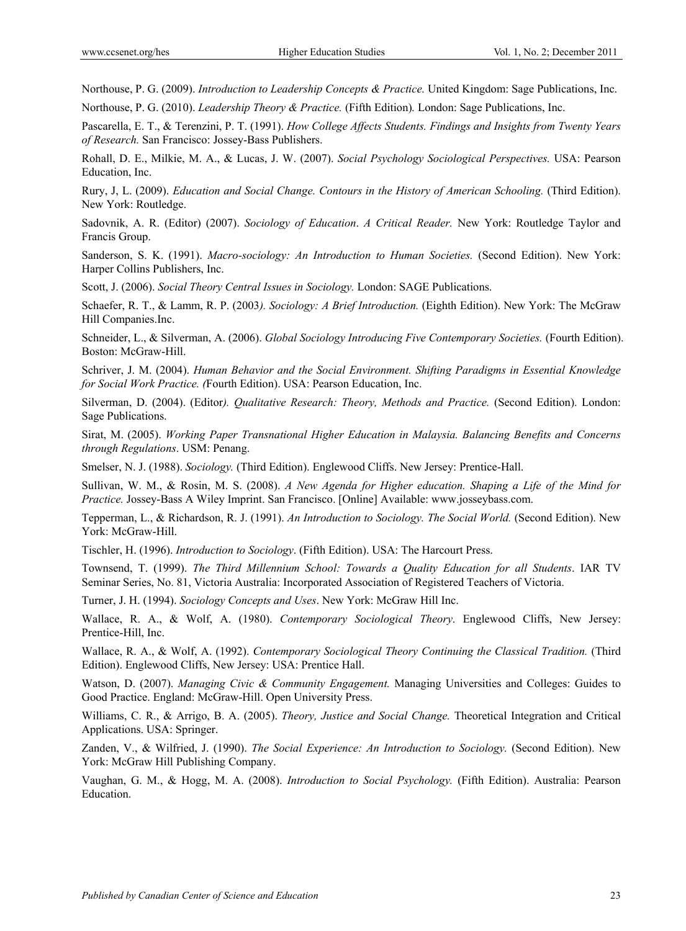Northouse, P. G. (2009). *Introduction to Leadership Concepts & Practice.* United Kingdom: Sage Publications, Inc. Northouse, P. G. (2010). *Leadership Theory & Practice.* (Fifth Edition)*.* London: Sage Publications, Inc.

Pascarella, E. T., & Terenzini, P. T. (1991). *How College Affects Students. Findings and Insights from Twenty Years of Research.* San Francisco: Jossey-Bass Publishers.

Rohall, D. E., Milkie, M. A., & Lucas, J. W. (2007). *Social Psychology Sociological Perspectives.* USA: Pearson Education, Inc.

Rury, J, L. (2009). *Education and Social Change. Contours in the History of American Schooling.* (Third Edition). New York: Routledge.

Sadovnik, A. R. (Editor) (2007). *Sociology of Education*. *A Critical Reader.* New York: Routledge Taylor and Francis Group.

Sanderson, S. K. (1991). *Macro-sociology: An Introduction to Human Societies.* (Second Edition). New York: Harper Collins Publishers, Inc.

Scott, J. (2006). *Social Theory Central Issues in Sociology.* London: SAGE Publications.

Schaefer, R. T., & Lamm, R. P. (2003*). Sociology: A Brief Introduction.* (Eighth Edition). New York: The McGraw Hill Companies.Inc.

Schneider, L., & Silverman, A. (2006). *Global Sociology Introducing Five Contemporary Societies.* (Fourth Edition). Boston: McGraw-Hill.

Schriver, J. M. (2004). *Human Behavior and the Social Environment. Shifting Paradigms in Essential Knowledge for Social Work Practice. (*Fourth Edition). USA: Pearson Education, Inc.

Silverman, D. (2004). (Editor*). Qualitative Research: Theory, Methods and Practice.* (Second Edition). London: Sage Publications.

Sirat, M. (2005). *Working Paper Transnational Higher Education in Malaysia. Balancing Benefits and Concerns through Regulations*. USM: Penang.

Smelser, N. J. (1988). *Sociology.* (Third Edition). Englewood Cliffs. New Jersey: Prentice-Hall.

Sullivan, W. M., & Rosin, M. S. (2008). *A New Agenda for Higher education. Shaping a Life of the Mind for Practice.* Jossey-Bass A Wiley Imprint. San Francisco. [Online] Available: www.josseybass.com.

Tepperman, L., & Richardson, R. J. (1991). *An Introduction to Sociology. The Social World.* (Second Edition). New York: McGraw-Hill.

Tischler, H. (1996). *Introduction to Sociology*. (Fifth Edition). USA: The Harcourt Press.

Townsend, T. (1999). *The Third Millennium School: Towards a Quality Education for all Students*. IAR TV Seminar Series, No. 81, Victoria Australia: Incorporated Association of Registered Teachers of Victoria.

Turner, J. H. (1994). *Sociology Concepts and Uses*. New York: McGraw Hill Inc.

Wallace, R. A., & Wolf, A. (1980). *Contemporary Sociological Theory*. Englewood Cliffs, New Jersey: Prentice-Hill, Inc.

Wallace, R. A., & Wolf, A. (1992). *Contemporary Sociological Theory Continuing the Classical Tradition.* (Third Edition). Englewood Cliffs, New Jersey: USA: Prentice Hall.

Watson, D. (2007). *Managing Civic & Community Engagement.* Managing Universities and Colleges: Guides to Good Practice. England: McGraw-Hill. Open University Press.

Williams, C. R., & Arrigo, B. A. (2005). *Theory, Justice and Social Change.* Theoretical Integration and Critical Applications. USA: Springer.

Zanden, V., & Wilfried, J. (1990). *The Social Experience: An Introduction to Sociology.* (Second Edition). New York: McGraw Hill Publishing Company.

Vaughan, G. M., & Hogg, M. A. (2008). *Introduction to Social Psychology.* (Fifth Edition). Australia: Pearson Education.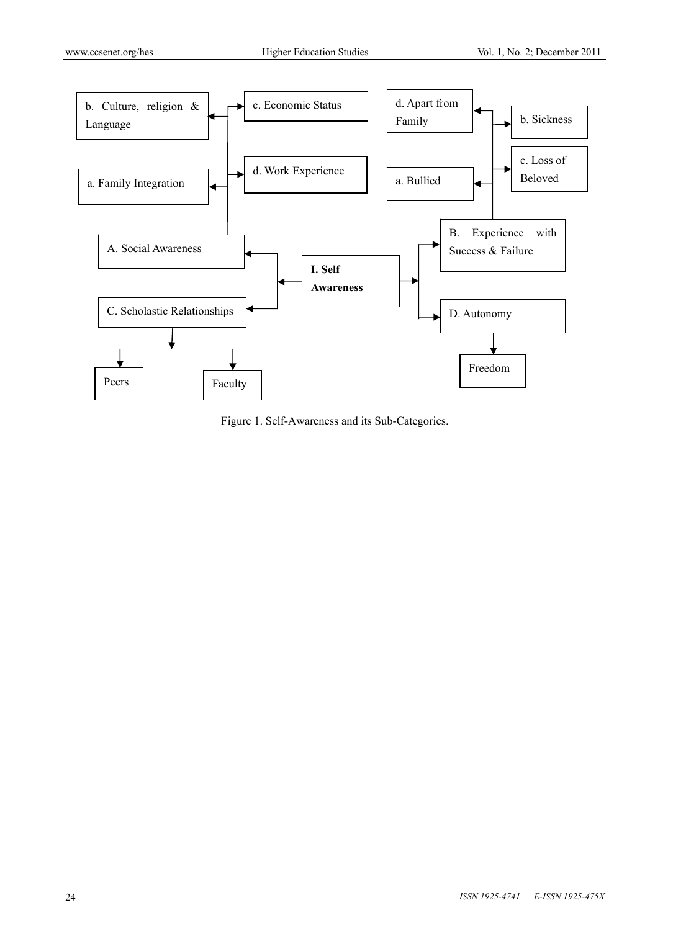

Figure 1. Self-Awareness and its Sub-Categories.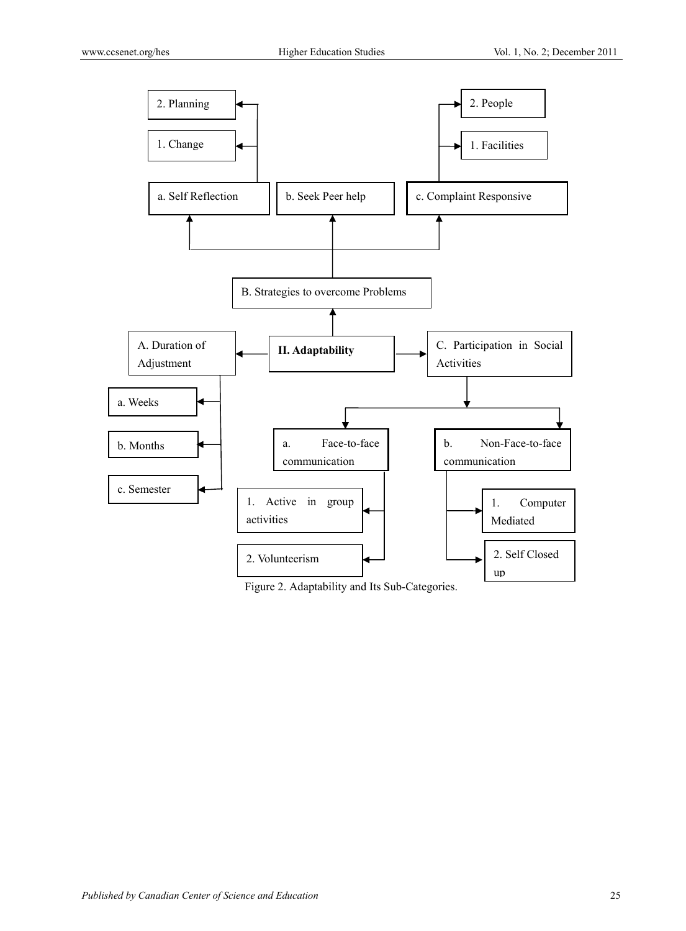

Figure 2. Adaptability and Its Sub-Categories.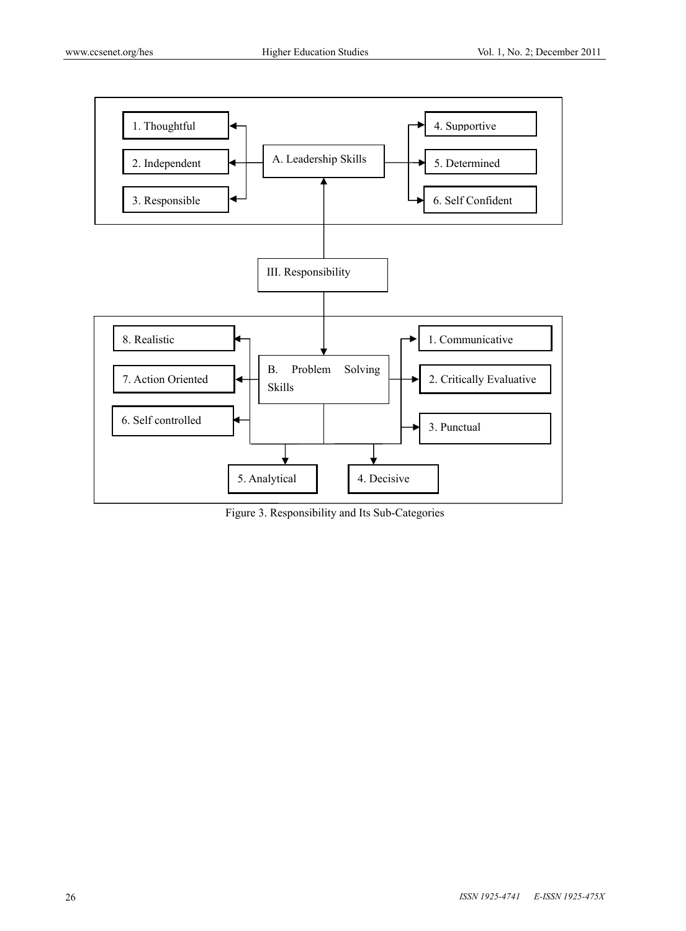

Figure 3. Responsibility and Its Sub-Categories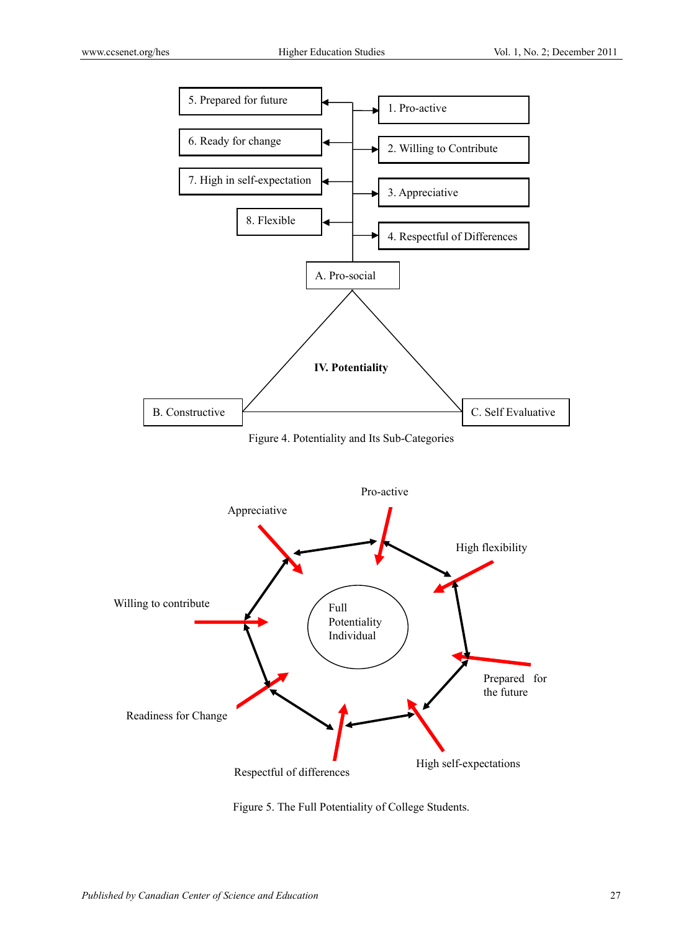

Figure 5. The Full Potentiality of College Students.